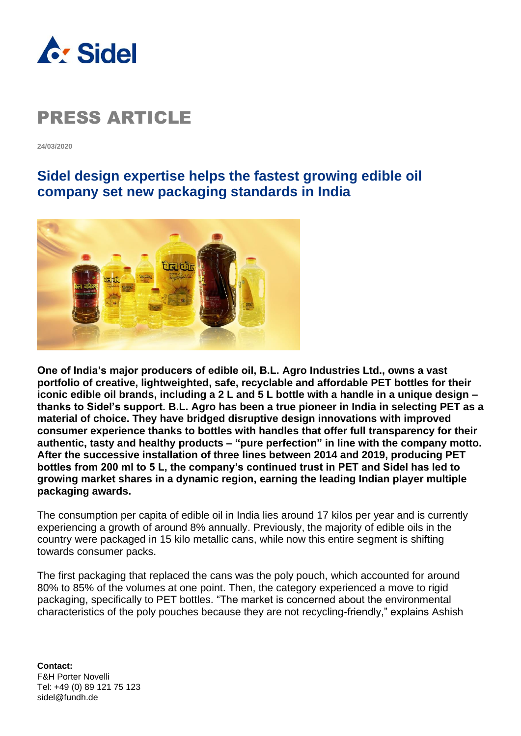

**24/03/2020**

### **Sidel design expertise helps the fastest growing edible oil company set new packaging standards in India**



**One of India's major producers of edible oil, B.L. Agro Industries Ltd., owns a vast portfolio of creative, lightweighted, safe, recyclable and affordable PET bottles for their iconic edible oil brands, including a 2 L and 5 L bottle with a handle in a unique design – thanks to Sidel's support. B.L. Agro has been a true pioneer in India in selecting PET as a material of choice. They have bridged disruptive design innovations with improved consumer experience thanks to bottles with handles that offer full transparency for their authentic, tasty and healthy products – "pure perfection" in line with the company motto. After the successive installation of three lines between 2014 and 2019, producing PET bottles from 200 ml to 5 L, the company's continued trust in PET and Sidel has led to growing market shares in a dynamic region, earning the leading Indian player multiple packaging awards.**

The consumption per capita of edible oil in India lies around 17 kilos per year and is currently experiencing a growth of around 8% annually. Previously, the majority of edible oils in the country were packaged in 15 kilo metallic cans, while now this entire segment is shifting towards consumer packs.

The first packaging that replaced the cans was the poly pouch, which accounted for around 80% to 85% of the volumes at one point. Then, the category experienced a move to rigid packaging, specifically to PET bottles. "The market is concerned about the environmental characteristics of the poly pouches because they are not recycling-friendly," explains Ashish

**Contact:** F&H Porter Novelli Tel: +49 (0) 89 121 75 123 sidel@fundh.de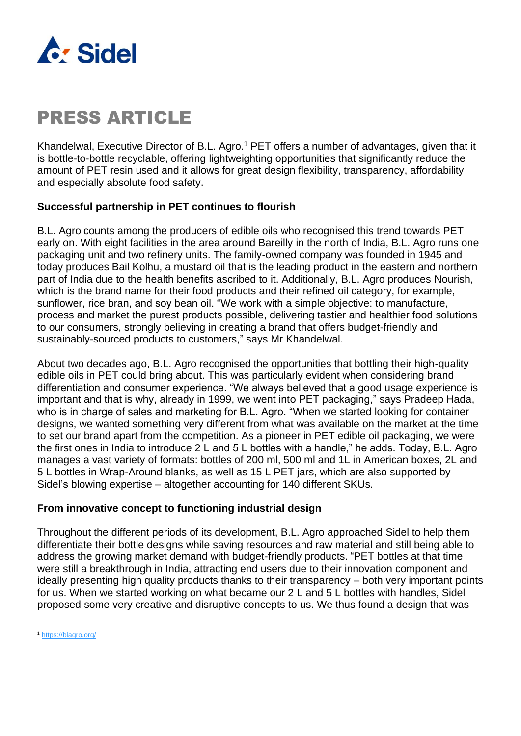

Khandelwal, Executive Director of B.L. Agro.<sup>1</sup> PET offers a number of advantages, given that it is bottle-to-bottle recyclable, offering lightweighting opportunities that significantly reduce the amount of PET resin used and it allows for great design flexibility, transparency, affordability and especially absolute food safety.

#### **Successful partnership in PET continues to flourish**

B.L. Agro counts among the producers of edible oils who recognised this trend towards PET early on. With eight facilities in the area around Bareilly in the north of India, B.L. Agro runs one packaging unit and two refinery units. The family-owned company was founded in 1945 and today produces Bail Kolhu, a mustard oil that is the leading product in the eastern and northern part of India due to the health benefits ascribed to it. Additionally, B.L. Agro produces Nourish, which is the brand name for their food products and their refined oil category, for example, sunflower, rice bran, and soy bean oil. "We work with a simple objective: to manufacture, process and market the purest products possible, delivering tastier and healthier food solutions to our consumers, strongly believing in creating a brand that offers budget-friendly and sustainably-sourced products to customers," says Mr Khandelwal.

About two decades ago, B.L. Agro recognised the opportunities that bottling their high-quality edible oils in PET could bring about. This was particularly evident when considering brand differentiation and consumer experience. "We always believed that a good usage experience is important and that is why, already in 1999, we went into PET packaging," says Pradeep Hada, who is in charge of sales and marketing for B.L. Agro. "When we started looking for container designs, we wanted something very different from what was available on the market at the time to set our brand apart from the competition. As a pioneer in PET edible oil packaging, we were the first ones in India to introduce 2 L and 5 L bottles with a handle," he adds. Today, B.L. Agro manages a vast variety of formats: bottles of 200 ml, 500 ml and 1L in American boxes, 2L and 5 L bottles in Wrap-Around blanks, as well as 15 L PET jars, which are also supported by Sidel's blowing expertise – altogether accounting for 140 different SKUs.

#### **From innovative concept to functioning industrial design**

Throughout the different periods of its development, B.L. Agro approached Sidel to help them differentiate their bottle designs while saving resources and raw material and still being able to address the growing market demand with budget-friendly products. "PET bottles at that time were still a breakthrough in India, attracting end users due to their innovation component and ideally presenting high quality products thanks to their transparency – both very important points for us. When we started working on what became our 2 L and 5 L bottles with handles, Sidel proposed some very creative and disruptive concepts to us. We thus found a design that was

<sup>1</sup> <https://blagro.org/>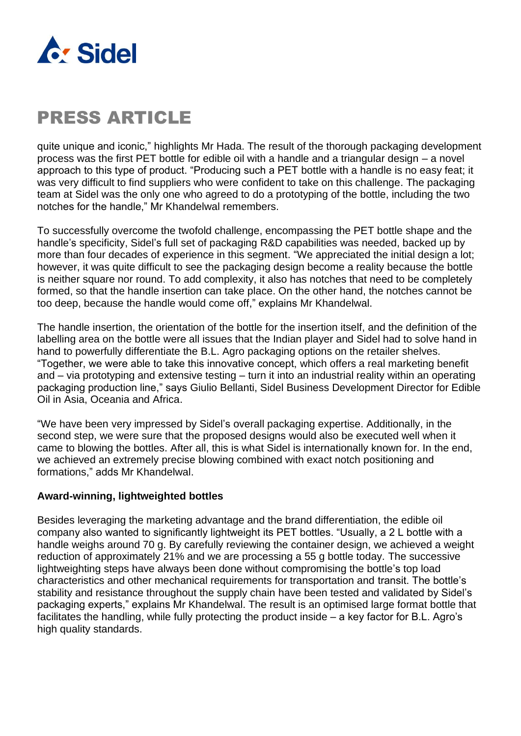

quite unique and iconic," highlights Mr Hada. The result of the thorough packaging development process was the first PET bottle for edible oil with a handle and a triangular design – a novel approach to this type of product. "Producing such a PET bottle with a handle is no easy feat; it was very difficult to find suppliers who were confident to take on this challenge. The packaging team at Sidel was the only one who agreed to do a prototyping of the bottle, including the two notches for the handle," Mr Khandelwal remembers.

To successfully overcome the twofold challenge, encompassing the PET bottle shape and the handle's specificity, Sidel's full set of packaging R&D capabilities was needed, backed up by more than four decades of experience in this segment. "We appreciated the initial design a lot; however, it was quite difficult to see the packaging design become a reality because the bottle is neither square nor round. To add complexity, it also has notches that need to be completely formed, so that the handle insertion can take place. On the other hand, the notches cannot be too deep, because the handle would come off," explains Mr Khandelwal.

The handle insertion, the orientation of the bottle for the insertion itself, and the definition of the labelling area on the bottle were all issues that the Indian player and Sidel had to solve hand in hand to powerfully differentiate the B.L. Agro packaging options on the retailer shelves. "Together, we were able to take this innovative concept, which offers a real marketing benefit and – via prototyping and extensive testing – turn it into an industrial reality within an operating packaging production line," says Giulio Bellanti, Sidel Business Development Director for Edible Oil in Asia, Oceania and Africa.

"We have been very impressed by Sidel's overall packaging expertise. Additionally, in the second step, we were sure that the proposed designs would also be executed well when it came to blowing the bottles. After all, this is what Sidel is internationally known for. In the end, we achieved an extremely precise blowing combined with exact notch positioning and formations," adds Mr Khandelwal.

#### **Award-winning, lightweighted bottles**

Besides leveraging the marketing advantage and the brand differentiation, the edible oil company also wanted to significantly lightweight its PET bottles. "Usually, a 2 L bottle with a handle weighs around 70 g. By carefully reviewing the container design, we achieved a weight reduction of approximately 21% and we are processing a 55 g bottle today. The successive lightweighting steps have always been done without compromising the bottle's top load characteristics and other mechanical requirements for transportation and transit. The bottle's stability and resistance throughout the supply chain have been tested and validated by Sidel's packaging experts," explains Mr Khandelwal. The result is an optimised large format bottle that facilitates the handling, while fully protecting the product inside – a key factor for B.L. Agro's high quality standards.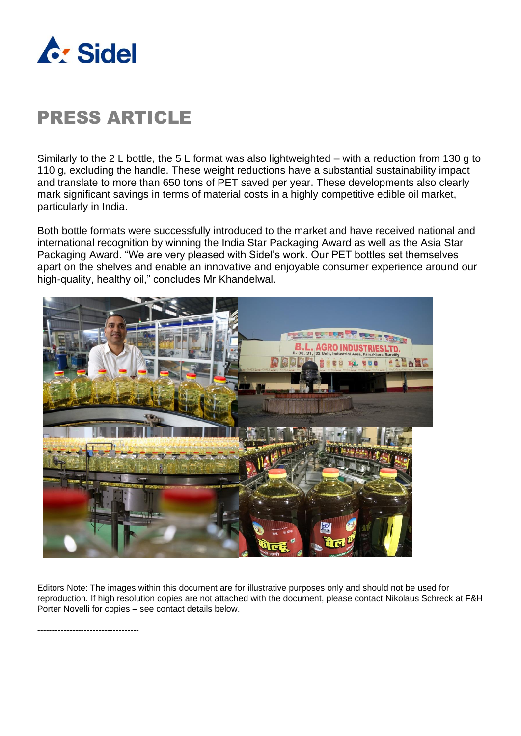

Similarly to the 2 L bottle, the 5 L format was also lightweighted – with a reduction from 130 g to 110 g, excluding the handle. These weight reductions have a substantial sustainability impact and translate to more than 650 tons of PET saved per year. These developments also clearly mark significant savings in terms of material costs in a highly competitive edible oil market, particularly in India.

Both bottle formats were successfully introduced to the market and have received national and international recognition by winning the India Star Packaging Award as well as the Asia Star Packaging Award. "We are very pleased with Sidel's work. Our PET bottles set themselves apart on the shelves and enable an innovative and enjoyable consumer experience around our high-quality, healthy oil," concludes Mr Khandelwal.



Editors Note: The images within this document are for illustrative purposes only and should not be used for reproduction. If high resolution copies are not attached with the document, please contact Nikolaus Schreck at F&H Porter Novelli for copies – see contact details below.

-----------------------------------